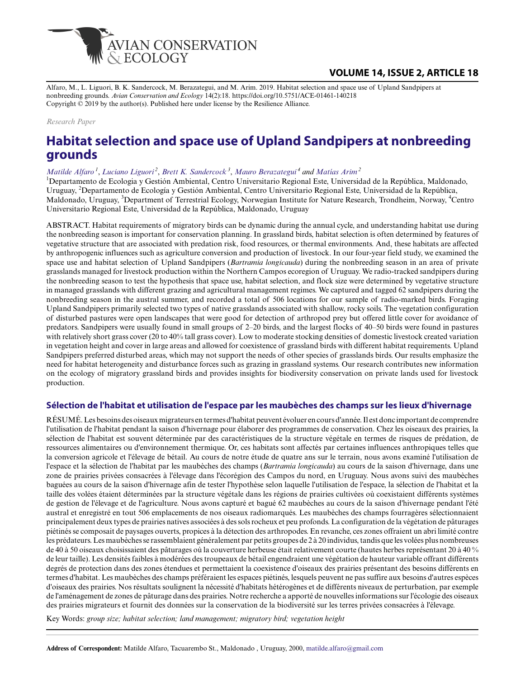

# **VOLUME 14, ISSUE 2, ARTICLE 18**

Alfaro, M., L. Liguori, B. K. Sandercock, M. Berazategui, and M. Arim. 2019. Habitat selection and space use of Upland Sandpipers at nonbreeding grounds. *Avian Conservation and Ecology* 14(2):18. https://doi.org/10.5751/ACE-01461-140218 Copyright © 2019 by the author(s). Published here under license by the Resilience Alliance.

*Research Paper*

# **Habitat selection and space use of Upland Sandpipers at nonbreeding grounds**

*[Matilde Alfaro](mailto:matilde.alfaro@gmail.com)<sup>1</sup>* , *[Luciano Liguori](mailto:lucianoliguori79@gmail.com)<sup>2</sup>* , *[Brett K. Sandercock](mailto:brett.sandercock@nina.no)<sup>3</sup>* , *[Mauro Berazategui](mailto:trama01@gmail.com)<sup>4</sup> and [Matías Arim](mailto:matiasarim@gmail.com)<sup>2</sup>*

<sup>1</sup>Departamento de Ecologia y Gestión Ambiental, Centro Universitario Regional Este, Universidad de la República, Maldonado, Uruguay, <sup>2</sup>Departamento de Ecología y Gestión Ambiental, Centro Universitario Regional Este, Universidad de la República, Maldonado, Uruguay, <sup>3</sup>Department of Terrestrial Ecology, Norwegian Institute for Nature Research, Trondheim, Norway, <sup>4</sup>Centro Universitario Regional Este, Universidad de la República, Maldonado, Uruguay

ABSTRACT. Habitat requirements of migratory birds can be dynamic during the annual cycle, and understanding habitat use during the nonbreeding season is important for conservation planning. In grassland birds, habitat selection is often determined by features of vegetative structure that are associated with predation risk, food resources, or thermal environments. And, these habitats are affected by anthropogenic influences such as agriculture conversion and production of livestock. In our four-year field study, we examined the space use and habitat selection of Upland Sandpipers (*Bartramia longicauda*) during the nonbreeding season in an area of private grasslands managed for livestock production within the Northern Campos ecoregion of Uruguay. We radio-tracked sandpipers during the nonbreeding season to test the hypothesis that space use, habitat selection, and flock size were determined by vegetative structure in managed grasslands with different grazing and agricultural management regimes. We captured and tagged 62 sandpipers during the nonbreeding season in the austral summer, and recorded a total of 506 locations for our sample of radio-marked birds. Foraging Upland Sandpipers primarily selected two types of native grasslands associated with shallow, rocky soils. The vegetation configuration of disturbed pastures were open landscapes that were good for detection of arthropod prey but offered little cover for avoidance of predators. Sandpipers were usually found in small groups of 2–20 birds, and the largest flocks of 40–50 birds were found in pastures with relatively short grass cover (20 to 40% tall grass cover). Low to moderate stocking densities of domestic livestock created variation in vegetation height and cover in large areas and allowed for coexistence of grassland birds with different habitat requirements. Upland Sandpipers preferred disturbed areas, which may not support the needs of other species of grasslands birds. Our results emphasize the need for habitat heterogeneity and disturbance forces such as grazing in grassland systems. Our research contributes new information on the ecology of migratory grassland birds and provides insights for biodiversity conservation on private lands used for livestock production.

## **Sélection de l'habitat et utilisation de l'espace par les maubèches des champs sur les lieux d'hivernage**

RÉSUMÉ. Les besoins des oiseaux migrateurs en termes d'habitat peuvent évoluer en cours d'année. Il est donc important de comprendre l'utilisation de l'habitat pendant la saison d'hivernage pour élaborer des programmes de conservation. Chez les oiseaux des prairies, la sélection de l'habitat est souvent déterminée par des caractéristiques de la structure végétale en termes de risques de prédation, de ressources alimentaires ou d'environnement thermique. Or, ces habitats sont affectés par certaines influences anthropiques telles que la conversion agricole et l'élevage de bétail. Au cours de notre étude de quatre ans sur le terrain, nous avons examiné l'utilisation de l'espace et la sélection de l'habitat par les maubèches des champs (*Bartramia longicauda*) au cours de la saison d'hivernage, dans une zone de prairies privées consacrées à l'élevage dans l'écorégion des Campos du nord, en Uruguay. Nous avons suivi des maubèches baguées au cours de la saison d'hivernage afin de tester l'hypothèse selon laquelle l'utilisation de l'espace, la sélection de l'habitat et la taille des volées étaient déterminées par la structure végétale dans les régions de prairies cultivées où coexistaient différents systèmes de gestion de l'élevage et de l'agriculture. Nous avons capturé et bagué 62 maubèches au cours de la saison d'hivernage pendant l'été austral et enregistré en tout 506 emplacements de nos oiseaux radiomarqués. Les maubèches des champs fourragères sélectionnaient principalement deux types de prairies natives associées à des sols rocheux et peu profonds. La configuration de la végétation de pâturages piétinés se composait de paysages ouverts, propices à la détection des arthropodes. En revanche, ces zones offraient un abri limité contre les prédateurs. Les maubèches se rassemblaient généralement par petits groupes de 2 à 20 individus, tandis que les volées plus nombreuses de 40 à 50 oiseaux choisissaient des pâturages où la couverture herbeuse était relativement courte (hautes herbes représentant 20 à 40 % de leur taille). Les densités faibles à modérées des troupeaux de bétail engendraient une végétation de hauteur variable offrant différents degrés de protection dans des zones étendues et permettaient la coexistence d'oiseaux des prairies présentant des besoins différents en termes d'habitat. Les maubèches des champs préféraient les espaces piétinés, lesquels peuvent ne pas suffire aux besoins d'autres espèces d'oiseaux des prairies. Nos résultats soulignent la nécessité d'habitats hétérogènes et de différents niveaux de perturbation, par exemple de l'aménagement de zones de pâturage dans des prairies. Notre recherche a apporté de nouvelles informations sur l'écologie des oiseaux des prairies migrateurs et fournit des données sur la conservation de la biodiversité sur les terres privées consacrées à l'élevage.

Key Words: *group size; habitat selection; land management; migratory bird; vegetation height*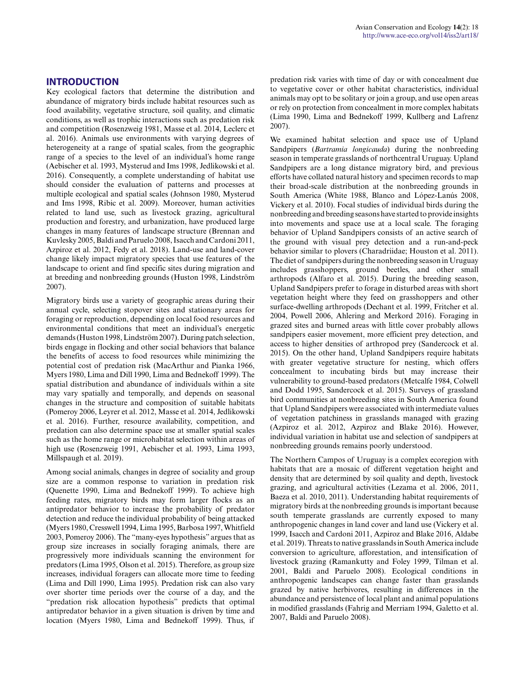Key ecological factors that determine the distribution and abundance of migratory birds include habitat resources such as food availability, vegetative structure, soil quality, and climatic conditions, as well as trophic interactions such as predation risk and competition (Rosenzweig 1981, Masse et al. 2014, Leclerc et al. 2016). Animals use environments with varying degrees of heterogeneity at a range of spatial scales, from the geographic range of a species to the level of an individual's home range (Aebischer et al. 1993, Mysterud and Ims 1998, Jedlikowski et al. 2016). Consequently, a complete understanding of habitat use should consider the evaluation of patterns and processes at multiple ecological and spatial scales (Johnson 1980, Mysterud and Ims 1998, Ribic et al. 2009). Moreover, human activities related to land use, such as livestock grazing, agricultural production and forestry, and urbanization, have produced large changes in many features of landscape structure (Brennan and Kuvlesky 2005, Baldi and Paruelo 2008, Isacch and Cardoni 2011, Azpiroz et al. 2012, Fedy et al. 2018). Land-use and land-cover change likely impact migratory species that use features of the landscape to orient and find specific sites during migration and at breeding and nonbreeding grounds (Huston 1998, Lindström 2007).

Migratory birds use a variety of geographic areas during their annual cycle, selecting stopover sites and stationary areas for foraging or reproduction, depending on local food resources and environmental conditions that meet an individual's energetic demands (Huston 1998, Lindström 2007). During patch selection, birds engage in flocking and other social behaviors that balance the benefits of access to food resources while minimizing the potential cost of predation risk (MacArthur and Pianka 1966, Myers 1980, Lima and Dill 1990, Lima and Bednekoff 1999). The spatial distribution and abundance of individuals within a site may vary spatially and temporally, and depends on seasonal changes in the structure and composition of suitable habitats (Pomeroy 2006, Leyrer et al. 2012, Masse et al. 2014, Jedlikowski et al. 2016). Further, resource availability, competition, and predation can also determine space use at smaller spatial scales such as the home range or microhabitat selection within areas of high use (Rosenzweig 1991, Aebischer et al. 1993, Lima 1993, Millspaugh et al. 2019).

Among social animals, changes in degree of sociality and group size are a common response to variation in predation risk (Quenette 1990, Lima and Bednekoff 1999). To achieve high feeding rates, migratory birds may form larger flocks as an antipredator behavior to increase the probability of predator detection and reduce the individual probability of being attacked (Myers 1980, Cresswell 1994, Lima 1995, Barbosa 1997, Whitfield 2003, Pomeroy 2006). The "many-eyes hypothesis" argues that as group size increases in socially foraging animals, there are progressively more individuals scanning the environment for predators (Lima 1995, Olson et al. 2015). Therefore, as group size increases, individual foragers can allocate more time to feeding (Lima and Dill 1990, Lima 1995). Predation risk can also vary over shorter time periods over the course of a day, and the "predation risk allocation hypothesis" predicts that optimal antipredator behavior in a given situation is driven by time and location (Myers 1980, Lima and Bednekoff 1999). Thus, if

predation risk varies with time of day or with concealment due to vegetative cover or other habitat characteristics, individual animals may opt to be solitary or join a group, and use open areas or rely on protection from concealment in more complex habitats (Lima 1990, Lima and Bednekoff 1999, Kullberg and Lafrenz 2007).

We examined habitat selection and space use of Upland Sandpipers (*Bartramia longicauda*) during the nonbreeding season in temperate grasslands of northcentral Uruguay. Upland Sandpipers are a long distance migratory bird, and previous efforts have collated natural history and specimen records to map their broad-scale distribution at the nonbreeding grounds in South America (White 1988, Blanco and López-Lanús 2008, Vickery et al. 2010). Focal studies of individual birds during the nonbreeding and breeding seasons have started to provide insights into movements and space use at a local scale. The foraging behavior of Upland Sandpipers consists of an active search of the ground with visual prey detection and a run-and-peck behavior similar to plovers (Charadriidae; Houston et al. 2011). The diet of sandpipers during the nonbreeding season in Uruguay includes grasshoppers, ground beetles, and other small arthropods (Alfaro et al. 2015). During the breeding season, Upland Sandpipers prefer to forage in disturbed areas with short vegetation height where they feed on grasshoppers and other surface-dwelling arthropods (Dechant et al. 1999, Fritcher et al. 2004, Powell 2006, Ahlering and Merkord 2016). Foraging in grazed sites and burned areas with little cover probably allows sandpipers easier movement, more efficient prey detection, and access to higher densities of arthropod prey (Sandercock et al. 2015). On the other hand, Upland Sandpipers require habitats with greater vegetative structure for nesting, which offers concealment to incubating birds but may increase their vulnerability to ground-based predators (Metcalfe 1984, Colwell and Dodd 1995, Sandercock et al. 2015). Surveys of grassland bird communities at nonbreeding sites in South America found that Upland Sandpipers were associated with intermediate values of vegetation patchiness in grasslands managed with grazing (Azpiroz et al. 2012, Azpiroz and Blake 2016). However, individual variation in habitat use and selection of sandpipers at nonbreeding grounds remains poorly understood.

The Northern Campos of Uruguay is a complex ecoregion with habitats that are a mosaic of different vegetation height and density that are determined by soil quality and depth, livestock grazing, and agricultural activities (Lezama et al. 2006, 2011, Baeza et al. 2010, 2011). Understanding habitat requirements of migratory birds at the nonbreeding grounds is important because south temperate grasslands are currently exposed to many anthropogenic changes in land cover and land use (Vickery et al. 1999, Isacch and Cardoni 2011, Azpiroz and Blake 2016, Aldabe et al. 2019). Threats to native grasslands in South America include conversion to agriculture, afforestation, and intensification of livestock grazing (Ramankutty and Foley 1999, Tilman et al. 2001, Baldi and Paruelo 2008). Ecological conditions in anthropogenic landscapes can change faster than grasslands grazed by native herbivores, resulting in differences in the abundance and persistence of local plant and animal populations in modified grasslands (Fahrig and Merriam 1994, Galetto et al. 2007, Baldi and Paruelo 2008).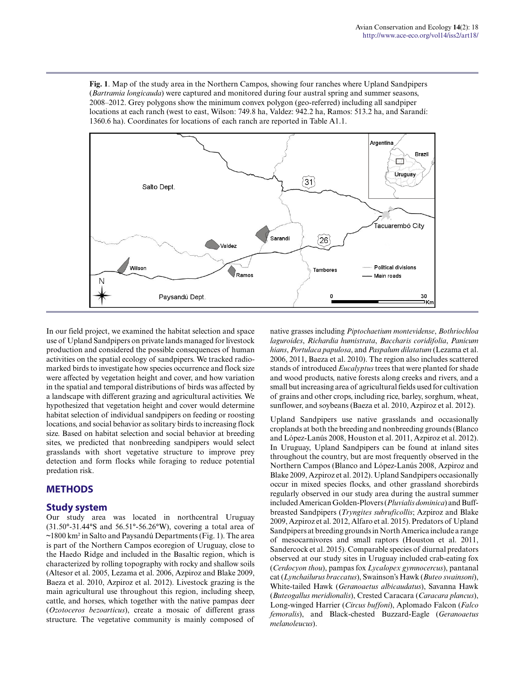**Fig. 1**. Map of the study area in the Northern Campos, showing four ranches where Upland Sandpipers (*Bartramia longicauda*) were captured and monitored during four austral spring and summer seasons, 2008–2012. Grey polygons show the minimum convex polygon (geo-referred) including all sandpiper locations at each ranch (west to east, Wilson: 749.8 ha, Valdez: 942.2 ha, Ramos: 513.2 ha, and Sarandí: 1360.6 ha). Coordinates for locations of each ranch are reported in Table A1.1.



In our field project, we examined the habitat selection and space use of Upland Sandpipers on private lands managed for livestock production and considered the possible consequences of human activities on the spatial ecology of sandpipers. We tracked radiomarked birds to investigate how species occurrence and flock size were affected by vegetation height and cover, and how variation in the spatial and temporal distributions of birds was affected by a landscape with different grazing and agricultural activities. We hypothesized that vegetation height and cover would determine habitat selection of individual sandpipers on feeding or roosting locations, and social behavior as solitary birds to increasing flock size. Based on habitat selection and social behavior at breeding sites, we predicted that nonbreeding sandpipers would select grasslands with short vegetative structure to improve prey detection and form flocks while foraging to reduce potential predation risk.

# **METHODS**

## **Study system**

Our study area was located in northcentral Uruguay  $(31.50^{\circ} - 31.44^{\circ}$ S and  $56.51^{\circ} - 56.26^{\circ}$ W), covering a total area of  $\sim$ 1800 km<sup>2</sup> in Salto and Paysandú Departments (Fig. 1). The area is part of the Northern Campos ecoregion of Uruguay, close to the Haedo Ridge and included in the Basaltic region, which is characterized by rolling topography with rocky and shallow soils (Altesor et al. 2005, Lezama et al. 2006, Azpiroz and Blake 2009, Baeza et al. 2010, Azpiroz et al. 2012). Livestock grazing is the main agricultural use throughout this region, including sheep, cattle, and horses, which together with the native pampas deer (*Ozotoceros bezoarticus*), create a mosaic of different grass structure. The vegetative community is mainly composed of native grasses including *Piptochaetium montevidense*, *Bothriochloa laguroides*, *Richardia humistrata*, *Baccharis coridifolia*, *Panicum hians*, *Portulaca papulosa*, and *Paspalum dilatatum* (Lezama et al. 2006, 2011, Baeza et al. 2010). The region also includes scattered stands of introduced *Eucalyptus* trees that were planted for shade and wood products, native forests along creeks and rivers, and a small but increasing area of agricultural fields used for cultivation of grains and other crops, including rice, barley, sorghum, wheat, sunflower, and soybeans (Baeza et al. 2010, Azpiroz et al. 2012).

Upland Sandpipers use native grasslands and occasionally croplands at both the breeding and nonbreeding grounds (Blanco and López-Lanús 2008, Houston et al. 2011, Azpiroz et al. 2012). In Uruguay, Upland Sandpipers can be found at inland sites throughout the country, but are most frequently observed in the Northern Campos (Blanco and López-Lanús 2008, Azpiroz and Blake 2009, Azpiroz et al. 2012). Upland Sandpipers occasionally occur in mixed species flocks, and other grassland shorebirds regularly observed in our study area during the austral summer included American Golden-Plovers (*Pluvialis dominica*) and Buffbreasted Sandpipers (*Tryngites subruficollis*; Azpiroz and Blake 2009, Azpiroz et al. 2012, Alfaro et al. 2015). Predators of Upland Sandpipers at breeding grounds in North America include a range of mesocarnivores and small raptors (Houston et al. 2011, Sandercock et al. 2015). Comparable species of diurnal predators observed at our study sites in Uruguay included crab-eating fox (*Cerdocyon thou*), pampas fox *Lycalopex gymnocercus*), pantanal cat (*Lynchailurus braccatus*), Swainson's Hawk (*Buteo swainsoni*), White-tailed Hawk (*Geranoaetus albicaudatus*), Savanna Hawk (*Buteogallus meridionalis*), Crested Caracara (*Caracara plancus*), Long-winged Harrier (*Circus buffoni*), Aplomado Falcon (*Falco femoralis*), and Black-chested Buzzard-Eagle (*Geranoaetus melanoleucus*).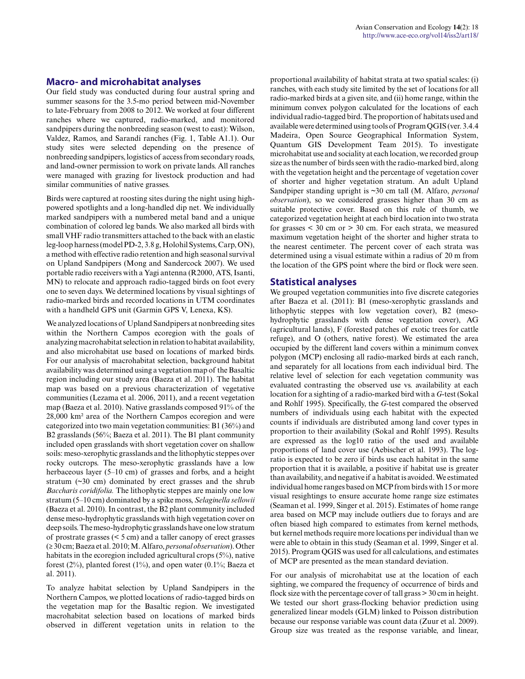### **Macro- and microhabitat analyses**

Our field study was conducted during four austral spring and summer seasons for the 3.5-mo period between mid-November to late-February from 2008 to 2012. We worked at four different ranches where we captured, radio-marked, and monitored sandpipers during the nonbreeding season (west to east): Wilson, Valdez, Ramos, and Sarandí ranches (Fig. 1, Table A1.1). Our study sites were selected depending on the presence of nonbreeding sandpipers, logistics of access from secondary roads, and land-owner permission to work on private lands. All ranches were managed with grazing for livestock production and had similar communities of native grasses.

Birds were captured at roosting sites during the night using highpowered spotlights and a long-handled dip net. We individually marked sandpipers with a numbered metal band and a unique combination of colored leg bands. We also marked all birds with small VHF radio transmitters attached to the back with an elastic leg-loop harness (model PD-2, 3.8 g, Holohil Systems, Carp, ON), a method with effective radio retention and high seasonal survival on Upland Sandpipers (Mong and Sandercock 2007). We used portable radio receivers with a Yagi antenna (R2000, ATS, Isanti, MN) to relocate and approach radio-tagged birds on foot every one to seven days. We determined locations by visual sightings of radio-marked birds and recorded locations in UTM coordinates with a handheld GPS unit (Garmin GPS V, Lenexa, KS).

We analyzed locations of Upland Sandpipers at nonbreeding sites within the Northern Campos ecoregion with the goals of analyzing macrohabitat selection in relation to habitat availability, and also microhabitat use based on locations of marked birds. For our analysis of macrohabitat selection, background habitat availability was determined using a vegetation map of the Basaltic region including our study area (Baeza et al. 2011). The habitat map was based on a previous characterization of vegetative communities (Lezama et al. 2006, 2011), and a recent vegetation map (Baeza et al. 2010). Native grasslands composed 91% of the 28,000 km² area of the Northern Campos ecoregion and were categorized into two main vegetation communities: B1 (36%) and B2 grasslands (56%; Baeza et al. 2011). The B1 plant community included open grasslands with short vegetation cover on shallow soils: meso-xerophytic grasslands and the lithophytic steppes over rocky outcrops. The meso-xerophytic grasslands have a low herbaceous layer (5–10 cm) of grasses and forbs, and a height stratum (~30 cm) dominated by erect grasses and the shrub *Baccharis coridifolia.* The lithophytic steppes are mainly one low stratum (5–10 cm) dominated by a spike moss, *Selaginella sellowii* (Baeza et al. 2010). In contrast, the B2 plant community included dense meso-hydrophytic grasslands with high vegetation cover on deep soils. The meso-hydrophytic grasslands have one low stratum of prostrate grasses (< 5 cm) and a taller canopy of erect grasses (≥ 30 cm; Baeza et al. 2010; M. Alfaro, *personal observation*). Other habitats in the ecoregion included agricultural crops (5%), native forest (2%), planted forest (1%), and open water (0.1%; Baeza et al. 2011).

To analyze habitat selection by Upland Sandpipers in the Northern Campos, we plotted locations of radio-tagged birds on the vegetation map for the Basaltic region. We investigated macrohabitat selection based on locations of marked birds observed in different vegetation units in relation to the proportional availability of habitat strata at two spatial scales: (i) ranches, with each study site limited by the set of locations for all radio-marked birds at a given site, and (ii) home range, within the minimum convex polygon calculated for the locations of each individual radio-tagged bird. The proportion of habitats used and available were determined using tools of Program QGIS (ver. 3.4.4 Madeira, Open Source Geographical Information System, Quantum GIS Development Team 2015). To investigate microhabitat use and sociality at each location, we recorded group size as the number of birds seen with the radio-marked bird, along with the vegetation height and the percentage of vegetation cover of shorter and higher vegetation stratum. An adult Upland Sandpiper standing upright is ~30 cm tall (M. Alfaro, *personal observation*), so we considered grasses higher than 30 cm as suitable protective cover. Based on this rule of thumb, we categorized vegetation height at each bird location into two strata for grasses  $\leq 30$  cm or  $> 30$  cm. For each strata, we measured maximum vegetation height of the shorter and higher strata to the nearest centimeter. The percent cover of each strata was determined using a visual estimate within a radius of 20 m from the location of the GPS point where the bird or flock were seen.

### **Statistical analyses**

We grouped vegetation communities into five discrete categories after Baeza et al. (2011): B1 (meso-xerophytic grasslands and lithophytic steppes with low vegetation cover), B2 (mesohydrophytic grasslands with dense vegetation cover), AG (agricultural lands), F (forested patches of exotic trees for cattle refuge), and O (others, native forest). We estimated the area occupied by the different land covers within a minimum convex polygon (MCP) enclosing all radio-marked birds at each ranch, and separately for all locations from each individual bird. The relative level of selection for each vegetation community was evaluated contrasting the observed use vs. availability at each location for a sighting of a radio-marked bird with a *G-*test (Sokal and Rohlf 1995). Specifically, the *G*-test compared the observed numbers of individuals using each habitat with the expected counts if individuals are distributed among land cover types in proportion to their availability (Sokal and Rohlf 1995). Results are expressed as the log10 ratio of the used and available proportions of land cover use (Aebischer et al. 1993). The logratio is expected to be zero if birds use each habitat in the same proportion that it is available, a positive if habitat use is greater than availability, and negative if a habitat is avoided. We estimated individual home ranges based on MCP from birds with 15 or more visual resightings to ensure accurate home range size estimates (Seaman et al. 1999, Singer et al. 2015). Estimates of home range area based on MCP may include outliers due to forays and are often biased high compared to estimates from kernel methods, but kernel methods require more locations per individual than we were able to obtain in this study (Seaman et al. 1999, Singer et al. 2015). Program QGIS was used for all calculations, and estimates of MCP are presented as the mean standard deviation.

For our analysis of microhabitat use at the location of each sighting, we compared the frequency of occurrence of birds and flock size with the percentage cover of tall grass > 30 cm in height. We tested our short grass-flocking behavior prediction using generalized linear models (GLM) linked to Poisson distribution because our response variable was count data (Zuur et al. 2009). Group size was treated as the response variable, and linear,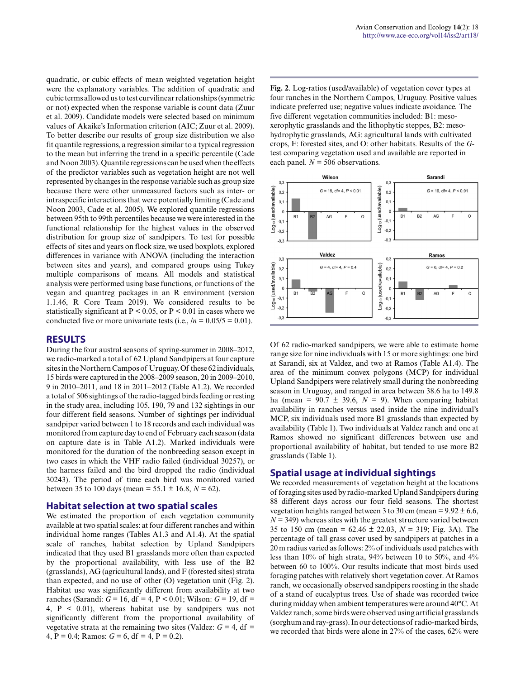quadratic, or cubic effects of mean weighted vegetation height were the explanatory variables. The addition of quadratic and cubic terms allowed us to test curvilinear relationships (symmetric or not) expected when the response variable is count data (Zuur et al. 2009). Candidate models were selected based on minimum values of Akaike's Information criterion (AIC; Zuur et al. 2009). To better describe our results of group size distribution we also fit quantile regressions, a regression similar to a typical regression to the mean but inferring the trend in a specific percentile (Cade and Noon 2003). Quantile regressions can be used when the effects of the predictor variables such as vegetation height are not well represented by changes in the response variable such as group size because there were other unmeasured factors such as inter- or intraspecific interactions that were potentially limiting (Cade and Noon 2003, Cade et al. 2005). We explored quantile regressions between 95th to 99th percentiles because we were interested in the functional relationship for the highest values in the observed distribution for group size of sandpipers. To test for possible effects of sites and years on flock size, we used boxplots, explored differences in variance with ANOVA (including the interaction between sites and years), and compared groups using Tukey multiple comparisons of means. All models and statistical analysis were performed using base functions, or functions of the vegan and quantreg packages in an R environment (version 1.1.46, R Core Team 2019). We considered results to be statistically significant at  $P < 0.05$ , or  $P < 0.01$  in cases where we conducted five or more univariate tests (i.e.,  $/n = 0.05/5 = 0.01$ ).

#### **RESULTS**

During the four austral seasons of spring-summer in 2008–2012, we radio-marked a total of 62 Upland Sandpipers at four capture sites in the Northern Campos of Uruguay. Of these 62 individuals, 15 birds were captured in the 2008–2009 season, 20 in 2009–2010, 9 in 2010–2011, and 18 in 2011–2012 (Table A1.2). We recorded a total of 506 sightings of the radio-tagged birds feeding or resting in the study area, including 105, 190, 79 and 132 sightings in our four different field seasons. Number of sightings per individual sandpiper varied between 1 to 18 records and each individual was monitored from capture day to end of February each season (data on capture date is in Table A1.2). Marked individuals were monitored for the duration of the nonbreeding season except in two cases in which the VHF radio failed (individual 30257), or the harness failed and the bird dropped the radio (individual 30243). The period of time each bird was monitored varied between 35 to 100 days (mean =  $55.1 \pm 16.8$ ,  $N = 62$ ).

#### **Habitat selection at two spatial scales**

We estimated the proportion of each vegetation community available at two spatial scales: at four different ranches and within individual home ranges (Tables A1.3 and A1.4). At the spatial scale of ranches, habitat selection by Upland Sandpipers indicated that they used B1 grasslands more often than expected by the proportional availability, with less use of the B2 (grasslands), AG (agricultural lands), and F (forested sites) strata than expected, and no use of other (O) vegetation unit (Fig. 2). Habitat use was significantly different from availability at two ranches (Sarandí:  $G = 16$ , df = 4, P < 0.01; Wilson:  $G = 19$ , df = 4,  $P \leq 0.01$ ), whereas habitat use by sandpipers was not significantly different from the proportional availability of vegetative strata at the remaining two sites (Valdez:  $G = 4$ , df = 4, P = 0.4; Ramos:  $G = 6$ , df = 4, P = 0.2).

**Fig. 2**. Log-ratios (used/available) of vegetation cover types at four ranches in the Northern Campos, Uruguay. Positive values indicate preferred use; negative values indicate avoidance. The five different vegetation communities included: B1: mesoxerophytic grasslands and the lithophytic steppes, B2: mesohydrophytic grasslands, AG: agricultural lands with cultivated crops, F: forested sites, and O: other habitats. Results of the *G*test comparing vegetation used and available are reported in each panel.  $N = 506$  observations.



Of 62 radio-marked sandpipers, we were able to estimate home range size for nine individuals with 15 or more sightings: one bird at Sarandí, six at Valdez, and two at Ramos (Table A1.4). The area of the minimum convex polygons (MCP) for individual Upland Sandpipers were relatively small during the nonbreeding season in Uruguay, and ranged in area between 38.6 ha to 149.8 ha (mean =  $90.7 \pm 39.6$ ,  $N = 9$ ). When comparing habitat availability in ranches versus used inside the nine individual's MCP, six individuals used more B1 grasslands than expected by availability (Table 1). Two individuals at Valdez ranch and one at Ramos showed no significant differences between use and proportional availability of habitat, but tended to use more B2 grasslands (Table 1).

### **Spatial usage at individual sightings**

We recorded measurements of vegetation height at the locations of foraging sites used by radio-marked Upland Sandpipers during 88 different days across our four field seasons. The shortest vegetation heights ranged between 3 to 30 cm (mean =  $9.92 \pm 6.6$ ,  $N = 349$ ) whereas sites with the greatest structure varied between 35 to 150 cm (mean = 62.46 ± 22.03, *N* = 319; Fig. 3A). The percentage of tall grass cover used by sandpipers at patches in a 20 m radius varied as follows: 2% of individuals used patches with less than 10% of high strata, 94% between 10 to 50%, and 4% between 60 to 100%. Our results indicate that most birds used foraging patches with relatively short vegetation cover. At Ramos ranch, we occasionally observed sandpipers roosting in the shade of a stand of eucalyptus trees. Use of shade was recorded twice during midday when ambient temperatures were around 40°C. At Valdez ranch, some birds were observed using artificial grasslands (sorghum and ray-grass). In our detections of radio-marked birds, we recorded that birds were alone in 27% of the cases, 62% were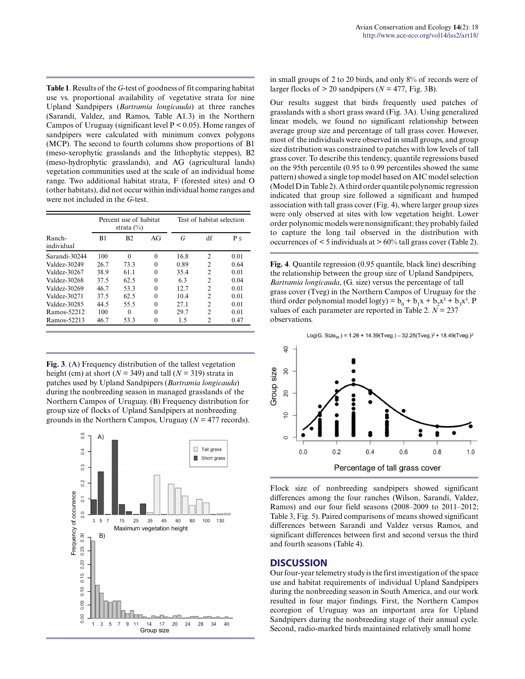**Table 1**. Results of the *G*-test of goodness of fit comparing habitat use vs. proportional availability of vegetative strata for nine Upland Sandpipers (*Bartramia longicauda*) at three ranches (Sarandí, Valdez, and Ramos, Table A1.3) in the Northern Campos of Uruguay (significant level P < 0.05). Home ranges of sandpipers were calculated with minimum convex polygons (MCP). The second to fourth columns show proportions of B1 (meso-xerophytic grasslands and the lithophytic steppes), B2 (meso-hydrophytic grasslands), and AG (agricultural lands) vegetation communities used at the scale of an individual home range. Two additional habitat strata, F (forested sites) and O (other habitats), did not occur within individual home ranges and were not included in the *G*-test.

|                      | Percent use of habitat<br>strata $(\%)$ |                |          | Test of habitat selection |                |          |  |
|----------------------|-----------------------------------------|----------------|----------|---------------------------|----------------|----------|--|
| Ranch-<br>individual | B1                                      | B <sub>2</sub> | AG       | G                         | df             | $P \leq$ |  |
| Sarandí-30244        | 100                                     | $\Omega$       | $\theta$ | 16.8                      | $\overline{c}$ | 0.01     |  |
| Valdez-30249         | 26.7                                    | 73.3           | $\Omega$ | 0.89                      | 2              | 0.64     |  |
| Valdez-30267         | 38.9                                    | 61 1           | $\Omega$ | 35.4                      | $\overline{c}$ | 0.01     |  |
| Valdez-30268         | 37.5                                    | 62.5           | $\Omega$ | 6.3                       | 2              | 0.04     |  |
| Valdez-30269         | 46.7                                    | 53.3           | $\Omega$ | 12.7                      | $\overline{c}$ | 0.01     |  |
| Valdez-30271         | 37.5                                    | 62.5           | $\Omega$ | 10.4                      | $\overline{c}$ | 0.01     |  |
| Valdez-30285         | 44.5                                    | 55.5           | $\theta$ | 27.1                      | $\overline{c}$ | 0.01     |  |
| Ramos-52212          | 100                                     | $\Omega$       | $\theta$ | 29.7                      | $\mathfrak{D}$ | 0.01     |  |
| Ramos-52213          | 46.7                                    | 53.3           | $\theta$ | 1.5                       | 2              | 0.47     |  |

**Fig. 3**. (A) Frequency distribution of the tallest vegetation height (cm) at short ( $N = 349$ ) and tall ( $N = 319$ ) strata in patches used by Upland Sandpipers (*Bartramia longicauda*) during the nonbreeding season in managed grasslands of the Northern Campos of Uruguay. (B) Frequency distribution for group size of flocks of Upland Sandpipers at nonbreeding grounds in the Northern Campos, Uruguay (*N* = 477 records).



in small groups of 2 to 20 birds, and only 8% of records were of larger flocks of  $> 20$  sandpipers ( $N = 477$ , Fig. 3B).

Our results suggest that birds frequently used patches of grasslands with a short grass sward (Fig. 3A). Using generalized linear models, we found no significant relationship between average group size and percentage of tall grass cover. However, most of the individuals were observed in small groups, and group size distribution was constrained to patches with low levels of tall grass cover. To describe this tendency, quantile regressions based on the 95th percentile (0.95 to 0.99 percentiles showed the same pattern) showed a single top model based on AIC model selection (Model D in Table 2). A third order quantile polynomic regression indicated that group size followed a significant and humped association with tall grass cover (Fig. 4), where larger group sizes were only observed at sites with low vegetation height. Lower order polynomic models were nonsignificant; they probably failed to capture the long tail observed in the distribution with occurrences of < 5 individuals at > 60% tall grass cover (Table 2).

**Fig. 4**. Quantile regression (0.95 quantile, black line) describing the relationship between the group size of Upland Sandpipers, *Bartramia longicauda*, (G. size) versus the percentage of tall grass cover (Tveg) in the Northern Campos of Uruguay for the third order polynomial model  $log(y) = b_0 + b_1x + b_2x^2 + b_3x^3$ . P values of each parameter are reported in Table 2.  $N = 237$ observations.

Log(G. Size<sub>os</sub>) = 1.26 + 14.39(Tveg.) - 32.25(Tveg.)<sup>2</sup> + 18.49(Tveg.)<sup>3</sup>



Flock size of nonbreeding sandpipers showed significant differences among the four ranches (Wilson, Sarandí, Valdez, Ramos) and our four field seasons (2008–2009 to 2011–2012; Table 3, Fig. 5). Paired comparisons of means showed significant differences between Sarandí and Valdez versus Ramos, and significant differences between first and second versus the third and fourth seasons (Table 4).

#### **DISCUSSION**

Our four-year telemetry study is the first investigation of the space use and habitat requirements of individual Upland Sandpipers during the nonbreeding season in South America, and our work resulted in four major findings. First, the Northern Campos ecoregion of Uruguay was an important area for Upland Sandpipers during the nonbreeding stage of their annual cycle. Second, radio-marked birds maintained relatively small home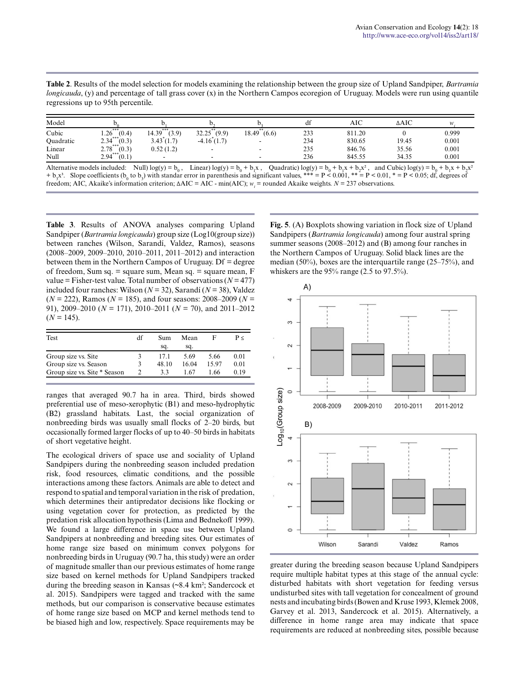| Table 2. Results of the model selection for models examining the relationship between the group size of Upland Sandpiper, Bartramia            |
|------------------------------------------------------------------------------------------------------------------------------------------------|
| <i>longicauda</i> , $(y)$ and percentage of tall grass cover $(x)$ in the Northern Campos ecoregion of Uruguay. Models were run using quantile |
| regressions up to 95th percentile.                                                                                                             |

| Model     |                      |                          |                |                | df  | AIC    | $\triangle AIC$ | w     |
|-----------|----------------------|--------------------------|----------------|----------------|-----|--------|-----------------|-------|
| Cubic     | ***<br>1.26<br>(0.4) | ***<br>(3.9)<br>14.39    | 32.25<br>(9.9) | 18.49<br>(6.6) | 233 | 811.20 |                 | 0.999 |
| Quadratic | ***<br>2.34<br>(0.3) | 3.43(1.7)                | $-4.16(1.7)$   |                | 234 | 830.65 | 19.45           | 0.001 |
| Linear    | $2.78***$<br>(0.3)   | 0.52(1.2)                |                |                | 235 | 846.76 | 35.56           | 0.001 |
| Null      | $2.94***$<br>(0.1)   | $\overline{\phantom{0}}$ |                |                | 236 | 845.55 | 34.35           | 0.001 |

Alternative models included: Null) log(y) =  $b_0$ , Linear) log(y) =  $b_0 + b_1x$ , Quadratic) log(y) =  $b_0 + b_1x + b_2x^2$ , and Cubic) log(y) =  $b_0 + b_1x + b_2x^2$  $+$  b<sub>3</sub>x<sup>3</sup>. Slope coefficients (b<sub>0</sub> to b<sub>3</sub>) with standar error in parenthesis and significant values, \*\*\* = P < 0.001, \*\* = P < 0.01, \* = P < 0.05; df, degrees of freedom; AIC, Akaike's information criterion; ΔAIC = AIC - min(AIC); *w<sup>i</sup>* = rounded Akaike weights. *N* = 237 observations.

**Table 3**. Results of ANOVA analyses comparing Upland Sandpiper (*Bartramia longicauda*) group size (Log10(group size)) between ranches (Wilson, Sarandí, Valdez, Ramos), seasons (2008–2009, 2009–2010, 2010–2011, 2011–2012) and interaction between them in the Northern Campos of Uruguay. Df = degree of freedom, Sum sq. = square sum, Mean sq. = square mean, F value = Fisher-test value. Total number of observations  $(N = 477)$ included four ranches: Wilson  $(N = 32)$ , Sarandí  $(N = 38)$ , Valdez  $(N = 222)$ , Ramos ( $N = 185$ ), and four seasons: 2008–2009 ( $N =$ 91), 2009–2010 (*N* = 171), 2010–2011 (*N* = 70), and 2011–2012  $(N = 145)$ .

| Test                         | df | Sum   | Mean  | ь    | P<   |
|------------------------------|----|-------|-------|------|------|
|                              |    | sq.   | sq.   |      |      |
| Group size vs. Site          |    | 171   | 5.69  | 5.66 | 0.01 |
| Group size vs. Season        |    | 48.10 | 16.04 | 1597 | 0.01 |
| Group size vs. Site * Season |    | 33    | 1 67  | 1 66 | 0.19 |

ranges that averaged 90.7 ha in area. Third, birds showed preferential use of meso-xerophytic (B1) and meso-hydrophytic (B2) grassland habitats. Last, the social organization of nonbreeding birds was usually small flocks of 2–20 birds, but occasionally formed larger flocks of up to 40–50 birds in habitats of short vegetative height.

The ecological drivers of space use and sociality of Upland Sandpipers during the nonbreeding season included predation risk, food resources, climatic conditions, and the possible interactions among these factors. Animals are able to detect and respond to spatial and temporal variation in the risk of predation, which determines their antipredator decisions like flocking or using vegetation cover for protection, as predicted by the predation risk allocation hypothesis (Lima and Bednekoff 1999). We found a large difference in space use between Upland Sandpipers at nonbreeding and breeding sites. Our estimates of home range size based on minimum convex polygons for nonbreeding birds in Uruguay (90.7 ha, this study) were an order of magnitude smaller than our previous estimates of home range size based on kernel methods for Upland Sandpipers tracked during the breeding season in Kansas (~8.4 km²; Sandercock et al. 2015). Sandpipers were tagged and tracked with the same methods, but our comparison is conservative because estimates of home range size based on MCP and kernel methods tend to be biased high and low, respectively. Space requirements may be **Fig. 5**. (A) Boxplots showing variation in flock size of Upland Sandpipers (*Bartramia longicauda*) among four austral spring summer seasons (2008–2012) and (B) among four ranches in the Northern Campos of Uruguay. Solid black lines are the median (50%), boxes are the interquartile range (25–75%), and whiskers are the 95% range (2.5 to 97.5%).



greater during the breeding season because Upland Sandpipers require multiple habitat types at this stage of the annual cycle: disturbed habitats with short vegetation for feeding versus undisturbed sites with tall vegetation for concealment of ground nests and incubating birds (Bowen and Kruse 1993, Klemek 2008, Garvey et al. 2013, Sandercock et al. 2015). Alternatively, a difference in home range area may indicate that space requirements are reduced at nonbreeding sites, possible because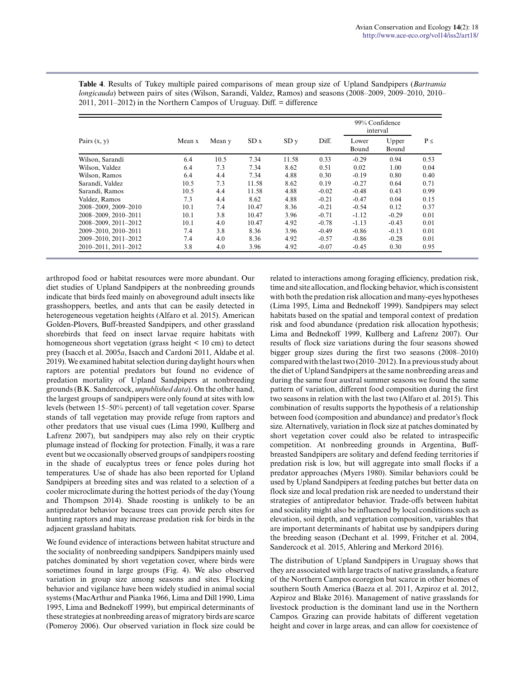|                      |        |        |       |                 |         | 99% Confidence<br>interval |                |          |
|----------------------|--------|--------|-------|-----------------|---------|----------------------------|----------------|----------|
| Pairs $(x, y)$       | Mean x | Mean y | SDx   | SD <sub>V</sub> | Diff.   | Lower<br>Bound             | Upper<br>Bound | $P \leq$ |
| Wilson, Sarandí      | 6.4    | 10.5   | 7.34  | 11.58           | 0.33    | $-0.29$                    | 0.94           | 0.53     |
| Wilson, Valdez       | 6.4    | 7.3    | 7.34  | 8.62            | 0.51    | 0.02                       | 1.00           | 0.04     |
| Wilson, Ramos        | 6.4    | 4.4    | 7.34  | 4.88            | 0.30    | $-0.19$                    | 0.80           | 0.40     |
| Sarandí, Valdez      | 10.5   | 7.3    | 11.58 | 8.62            | 0.19    | $-0.27$                    | 0.64           | 0.71     |
| Sarandí, Ramos       | 10.5   | 4.4    | 11.58 | 4.88            | $-0.02$ | $-0.48$                    | 0.43           | 0.99     |
| Valdez, Ramos        | 7.3    | 4.4    | 8.62  | 4.88            | $-0.21$ | $-0.47$                    | 0.04           | 0.15     |
| 2008-2009, 2009-2010 | 10.1   | 7.4    | 10.47 | 8.36            | $-0.21$ | $-0.54$                    | 0.12           | 0.37     |
| 2008-2009, 2010-2011 | 10.1   | 3.8    | 10.47 | 3.96            | $-0.71$ | $-1.12$                    | $-0.29$        | 0.01     |
| 2008-2009, 2011-2012 | 10.1   | 4.0    | 10.47 | 4.92            | $-0.78$ | $-1.13$                    | $-0.43$        | 0.01     |
| 2009-2010. 2010-2011 | 7.4    | 3.8    | 8.36  | 3.96            | $-0.49$ | $-0.86$                    | $-0.13$        | 0.01     |
| 2009-2010, 2011-2012 | 7.4    | 4.0    | 8.36  | 4.92            | $-0.57$ | $-0.86$                    | $-0.28$        | 0.01     |
| 2010-2011, 2011-2012 | 3.8    | 4.0    | 3.96  | 4.92            | $-0.07$ | $-0.45$                    | 0.30           | 0.95     |

**Table 4**. Results of Tukey multiple paired comparisons of mean group size of Upland Sandpipers (*Bartramia longicauda*) between pairs of sites (Wilson, Sarandí, Valdez, Ramos) and seasons (2008–2009, 2009–2010, 2010– 2011, 2011–2012) in the Northern Campos of Uruguay. Diff. = difference

arthropod food or habitat resources were more abundant. Our diet studies of Upland Sandpipers at the nonbreeding grounds indicate that birds feed mainly on aboveground adult insects like grasshoppers, beetles, and ants that can be easily detected in heterogeneous vegetation heights (Alfaro et al. 2015). American Golden-Plovers, Buff-breasted Sandpipers, and other grassland shorebirds that feed on insect larvae require habitats with homogeneous short vegetation (grass height < 10 cm) to detect prey (Isacch et al. 2005*a*, Isacch and Cardoni 2011, Aldabe et al. 2019). We examined habitat selection during daylight hours when raptors are potential predators but found no evidence of predation mortality of Upland Sandpipers at nonbreeding grounds (B.K. Sandercock, *unpublished data*). On the other hand, the largest groups of sandpipers were only found at sites with low levels (between 15–50% percent) of tall vegetation cover. Sparse stands of tall vegetation may provide refuge from raptors and other predators that use visual cues (Lima 1990, Kullberg and Lafrenz 2007), but sandpipers may also rely on their cryptic plumage instead of flocking for protection. Finally, it was a rare event but we occasionally observed groups of sandpipers roosting in the shade of eucalyptus trees or fence poles during hot temperatures. Use of shade has also been reported for Upland Sandpipers at breeding sites and was related to a selection of a cooler microclimate during the hottest periods of the day (Young and Thompson 2014). Shade roosting is unlikely to be an antipredator behavior because trees can provide perch sites for hunting raptors and may increase predation risk for birds in the adjacent grassland habitats.

We found evidence of interactions between habitat structure and the sociality of nonbreeding sandpipers. Sandpipers mainly used patches dominated by short vegetation cover, where birds were sometimes found in large groups (Fig. 4). We also observed variation in group size among seasons and sites. Flocking behavior and vigilance have been widely studied in animal social systems (MacArthur and Pianka 1966, Lima and Dill 1990, Lima 1995, Lima and Bednekoff 1999), but empirical determinants of these strategies at nonbreeding areas of migratory birds are scarce (Pomeroy 2006). Our observed variation in flock size could be related to interactions among foraging efficiency, predation risk, time and site allocation, and flocking behavior, which is consistent with both the predation risk allocation and many-eyes hypotheses (Lima 1995, Lima and Bednekoff 1999). Sandpipers may select habitats based on the spatial and temporal context of predation risk and food abundance (predation risk allocation hypothesis; Lima and Bednekoff 1999, Kullberg and Lafrenz 2007). Our results of flock size variations during the four seasons showed bigger group sizes during the first two seasons (2008–2010) compared with the last two (2010–2012). In a previous study about the diet of Upland Sandpipers at the same nonbreeding areas and during the same four austral summer seasons we found the same pattern of variation, different food composition during the first two seasons in relation with the last two (Alfaro et al. 2015). This combination of results supports the hypothesis of a relationship between food (composition and abundance) and predator's flock size. Alternatively, variation in flock size at patches dominated by short vegetation cover could also be related to intraspecific competition. At nonbreeding grounds in Argentina, Buffbreasted Sandpipers are solitary and defend feeding territories if predation risk is low, but will aggregate into small flocks if a predator approaches (Myers 1980). Similar behaviors could be used by Upland Sandpipers at feeding patches but better data on flock size and local predation risk are needed to understand their strategies of antipredator behavior. Trade-offs between habitat and sociality might also be influenced by local conditions such as elevation, soil depth, and vegetation composition, variables that are important determinants of habitat use by sandpipers during the breeding season (Dechant et al. 1999, Fritcher et al. 2004, Sandercock et al. 2015, Ahlering and Merkord 2016).

The distribution of Upland Sandpipers in Uruguay shows that they are associated with large tracts of native grasslands, a feature of the Northern Campos ecoregion but scarce in other biomes of southern South America (Baeza et al. 2011, Azpiroz et al. 2012, Azpiroz and Blake 2016). Management of native grasslands for livestock production is the dominant land use in the Northern Campos. Grazing can provide habitats of different vegetation height and cover in large areas, and can allow for coexistence of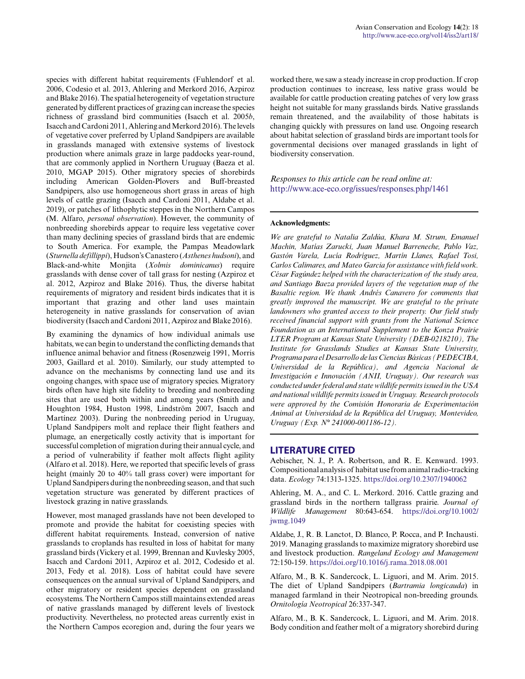species with different habitat requirements (Fuhlendorf et al. 2006, Codesio et al. 2013, Ahlering and Merkord 2016, Azpiroz and Blake 2016). The spatial heterogeneity of vegetation structure generated by different practices of grazing can increase the species richness of grassland bird communities (Isacch et al. 2005*b*, Isacch and Cardoni 2011, Ahlering and Merkord 2016). The levels of vegetative cover preferred by Upland Sandpipers are available in grasslands managed with extensive systems of livestock production where animals graze in large paddocks year-round, that are commonly applied in Northern Uruguay (Baeza et al. 2010, MGAP 2015). Other migratory species of shorebirds including American Golden-Plovers and Buff-breasted Sandpipers, also use homogeneous short grass in areas of high levels of cattle grazing (Isacch and Cardoni 2011, Aldabe et al. 2019), or patches of lithophytic steppes in the Northern Campos (M. Alfaro, *personal observation*). However, the community of nonbreeding shorebirds appear to require less vegetative cover than many declining species of grassland birds that are endemic to South America. For example, the Pampas Meadowlark (*Sturnella defillippi*), Hudson's Canastero (*Asthenes hudsoni*), and Black-and-white Monjita (*Xolmis dominicanus*) require grasslands with dense cover of tall grass for nesting (Azpiroz et al. 2012, Azpiroz and Blake 2016). Thus, the diverse habitat requirements of migratory and resident birds indicates that it is important that grazing and other land uses maintain heterogeneity in native grasslands for conservation of avian biodiversity (Isacch and Cardoni 2011, Azpiroz and Blake 2016).

By examining the dynamics of how individual animals use habitats, we can begin to understand the conflicting demands that influence animal behavior and fitness (Rosenzweig 1991, Morris 2003, Gaillard et al. 2010). Similarly, our study attempted to advance on the mechanisms by connecting land use and its ongoing changes, with space use of migratory species. Migratory birds often have high site fidelity to breeding and nonbreeding sites that are used both within and among years (Smith and Houghton 1984, Huston 1998, Lindström 2007, Isacch and Martínez 2003). During the nonbreeding period in Uruguay, Upland Sandpipers molt and replace their flight feathers and plumage, an energetically costly activity that is important for successful completion of migration during their annual cycle, and a period of vulnerability if feather molt affects flight agility (Alfaro et al. 2018). Here, we reported that specific levels of grass height (mainly 20 to 40% tall grass cover) were important for Upland Sandpipers during the nonbreeding season, and that such vegetation structure was generated by different practices of livestock grazing in native grasslands.

However, most managed grasslands have not been developed to promote and provide the habitat for coexisting species with different habitat requirements. Instead, conversion of native grasslands to croplands has resulted in loss of habitat for many grassland birds (Vickery et al. 1999, Brennan and Kuvlesky 2005, Isacch and Cardoni 2011, Azpiroz et al. 2012, Codesido et al. 2013, Fedy et al. 2018). Loss of habitat could have severe consequences on the annual survival of Upland Sandpipers, and other migratory or resident species dependent on grassland ecosystems. The Northern Campos still maintains extended areas of native grasslands managed by different levels of livestock productivity. Nevertheless, no protected areas currently exist in the Northern Campos ecoregion and, during the four years we worked there, we saw a steady increase in crop production. If crop production continues to increase, less native grass would be available for cattle production creating patches of very low grass height not suitable for many grasslands birds. Native grasslands remain threatened, and the availability of those habitats is changing quickly with pressures on land use. Ongoing research about habitat selection of grassland birds are important tools for governmental decisions over managed grasslands in light of biodiversity conservation.

*Responses to this article can be read online at:* <http://www.ace-eco.org/issues/responses.php/1461>

#### **Acknowledgments:**

*We are grateful to Natalia Zaldúa, Khara M. Strum, Emanuel Machin, Matías Zarucki, Juan Manuel Barreneche, Pablo Vaz, Gastón Varela, Lucía Rodríguez, Martín Llanes, Rafael Tosi, Carlos Calimares, and Mateo Garcia for assistance with field work. César Fagúndez helped with the characterization of the study area, and Santiago Baeza provided layers of the vegetation map of the Basaltic region. We thank Andrés Canavero for comments that greatly improved the manuscript. We are grateful to the private landowners who granted access to their property. Our field study received financial support with grants from the National Science Foundation as an International Supplement to the Konza Prairie LTER Program at Kansas State University (DEB-0218210), The Institute for Grasslands Studies at Kansas State University, Programa para el Desarrollo de las Ciencias Básicas (PEDECIBA, Universidad de la República), and Agencia Nacional de Investigación e Innovación (ANII, Uruguay). Our research was conducted under federal and state wildlife permits issued in the USA and national wildlife permits issued in Uruguay. Research protocols were approved by the Comisión Honoraria de Experimentación Animal at Universidad de la República del Uruguay, Montevideo, Uruguay (Exp. N° 241000-001186-12).*

#### **LITERATURE CITED**

Aebischer, N. J., P. A. Robertson, and R. E. Kenward. 1993. Compositional analysis of habitat use from animal radio-tracking data. *Ecology* 74:1313-1325.<https://doi.org/10.2307/1940062>

Ahlering, M. A., and C. L. Merkord. 2016. Cattle grazing and grassland birds in the northern tallgrass prairie. *Journal of Wildlife Management* 80:643-654. [https://doi.org/10.1002/](https://doi.org/10.1002/jwmg.1049) [jwmg.1049](https://doi.org/10.1002/jwmg.1049)

Aldabe, J., R. B. Lanctot, D. Blanco, P. Rocca, and P. Inchausti. 2019. Managing grasslands to maximize migratory shorebird use and livestock production. *Rangeland Ecology and Management* 72:150-159.<https://doi.org/10.1016/j.rama.2018.08.001>

Alfaro, M., B. K. Sandercock, L. Liguori, and M. Arim. 2015. The diet of Upland Sandpipers (*Bartramia longicauda*) in managed farmland in their Neotropical non-breeding grounds. *Ornitología Neotropical* 26:337-347.

Alfaro, M., B. K. Sandercock, L. Liguori, and M. Arim. 2018. Body condition and feather molt of a migratory shorebird during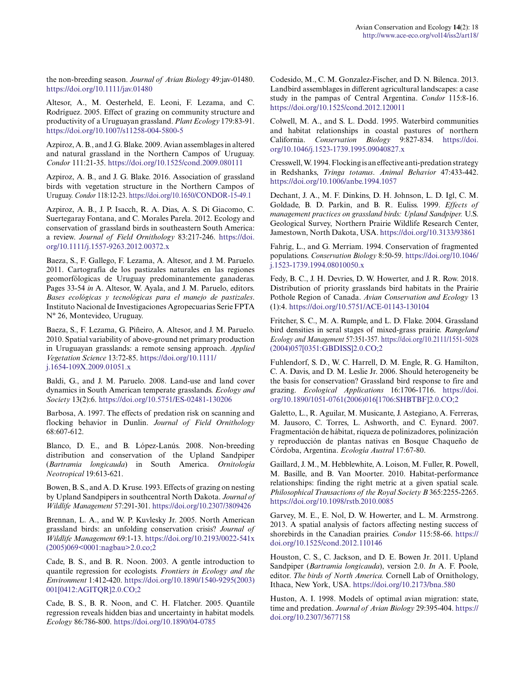the non-breeding season. *Journal of Avian Biology* 49:jav-01480. <https://doi.org/10.1111/jav.01480>

Altesor, A., M. Oesterheld, E. Leoni, F. Lezama, and C. Rodríguez. 2005. Effect of grazing on community structure and productivity of a Uruguayan grassland. *Plant Ecology* 179:83-91. <https://doi.org/10.1007/s11258-004-5800-5>

Azpiroz, A. B., and J. G. Blake. 2009. Avian assemblages in altered and natural grassland in the Northern Campos of Uruguay. *Condor* 111:21-35. <https://doi.org/10.1525/cond.2009.080111>

Azpiroz, A. B., and J. G. Blake. 2016. Association of grassland birds with vegetation structure in the Northern Campos of Uruguay. *Condor* 118:12-23.<https://doi.org/10.1650/CONDOR-15-49.1>

Azpiroz, A. B., J. P. Isacch, R. A. Dias, A. S. Di Giacomo, C. Suertegaray Fontana, and C. Morales Parela. 2012. Ecology and conservation of grassland birds in southeastern South America: a review. *Journal of Field Ornithology* 83:217-246. [https://doi.](https://doi.org/10.1111/j.1557-9263.2012.00372.x) [org/10.1111/j.1557-9263.2012.00372.x](https://doi.org/10.1111/j.1557-9263.2012.00372.x)

Baeza, S., F. Gallego, F. Lezama, A. Altesor, and J. M. Paruelo. 2011. Cartografía de los pastizales naturales en las regiones geomorfólogicas de Uruguay predominantemente ganaderas. Pages 33-54 *in* A. Altesor, W. Ayala, and J. M. Paruelo, editors. *Bases ecológicas y tecnológicas para el manejo de pastizales*. Instituto Nacional de Investigaciones Agropecuarias Serie FPTA N° 26, Montevideo, Uruguay.

Baeza, S., F. Lezama, G. Piñeiro, A. Altesor, and J. M. Paruelo. 2010. Spatial variability of above-ground net primary production in Uruguayan grasslands: a remote sensing approach. *Applied Vegetation Science* 13:72-85. [https://doi.org/10.1111/](https://doi.org/10.1111/j.1654-109X.2009.01051.x) [j.1654-109X.2009.01051.x](https://doi.org/10.1111/j.1654-109X.2009.01051.x) 

Baldi, G., and J. M. Paruelo. 2008. Land-use and land cover dynamics in South American temperate grasslands. *Ecology and Society* 13(2):6.<https://doi.org/10.5751/ES-02481-130206>

Barbosa, A. 1997. The effects of predation risk on scanning and flocking behavior in Dunlin. *Journal of Field Ornithology* 68:607-612.

Blanco, D. E., and B. López-Lanús. 2008. Non-breeding distribution and conservation of the Upland Sandpiper (*Bartramia longicauda*) in South America. *Ornitología Neotropical* 19:613-621.

Bowen, B. S., and A. D. Kruse. 1993. Effects of grazing on nesting by Upland Sandpipers in southcentral North Dakota. *Journal of Wildlife Management* 57:291-301. <https://doi.org/10.2307/3809426>

Brennan, L. A., and W. P. Kuvlesky Jr. 2005. North American grassland birds: an unfolding conservation crisis? *Journal of Wildlife Management* 69:1-13. [https://doi.org/10.2193/0022-541x](https://doi.org/10.2193/0022-541x(2005)069<0001:nagbau>2.0.co;2) [\(2005\)069<0001:nagbau>2.0.co;2](https://doi.org/10.2193/0022-541x(2005)069<0001:nagbau>2.0.co;2) 

Cade, B. S., and B. R. Noon. 2003. A gentle introduction to quantile regression for ecologists. *Frontiers in Ecology and the Environment* 1:412-420. [https://doi.org/10.1890/1540-9295\(2003\)](https://doi.org/10.1890/1540-9295(2003)001[0412:AGITQR]2.0.CO;2) [001\[0412:AGITQR\]2.0.CO;2](https://doi.org/10.1890/1540-9295(2003)001[0412:AGITQR]2.0.CO;2)

Cade, B. S., B. R. Noon, and C. H. Flatcher. 2005. Quantile regression reveals hidden bias and uncertainty in habitat models. *Ecology* 86:786-800. <https://doi.org/10.1890/04-0785>

Codesido, M., C. M. Gonzalez-Fischer, and D. N. Bilenca. 2013. Landbird assemblages in different agricultural landscapes: a case study in the pampas of Central Argentina. *Condor* 115:8-16. <https://doi.org/10.1525/cond.2012.120011>

Colwell, M. A., and S. L. Dodd. 1995. Waterbird communities and habitat relationships in coastal pastures of northern California. *Conservation Biology* 9:827-834. [https://doi.](https://doi.org/10.1046/j.1523-1739.1995.09040827.x) [org/10.1046/j.1523-1739.1995.09040827.x](https://doi.org/10.1046/j.1523-1739.1995.09040827.x) 

Cresswell, W. 1994. Flocking is an effective anti-predation strategy in Redshanks, *Tringa totanus*. *Animal Behavior* 47:433-442. <https://doi.org/10.1006/anbe.1994.1057>

Dechant, J. A., M. F. Dinkins, D. H. Johnson, L. D. Igl, C. M. Goldade, B. D. Parkin, and B. R. Euliss. 1999. *Effects of management practices on grassland birds: Upland Sandpiper.* U.S. Geological Survey, Northern Prairie Wildlife Research Center, Jamestown, North Dakota, USA.<https://doi.org/10.3133/93861>

Fahrig, L., and G. Merriam. 1994. Conservation of fragmented populations. *Conservation Biology* 8:50-59. [https://doi.org/10.1046/](https://doi.org/10.1046/j.1523-1739.1994.08010050.x) [j.1523-1739.1994.08010050.x](https://doi.org/10.1046/j.1523-1739.1994.08010050.x) 

Fedy, B. C., J. H. Devries, D. W. Howerter, and J. R. Row. 2018. Distribution of priority grasslands bird habitats in the Prairie Pothole Region of Canada. *Avian Conservation and Ecology* 13 (1):4.<https://doi.org/10.5751/ACE-01143-130104>

Fritcher, S. C., M. A. Rumple, and L. D. Flake. 2004. Grassland bird densities in seral stages of mixed-grass prairie. *Rangeland Ecology and Management* 57:351-357. [https://doi.org/10.2111/1551-5028](https://doi.org/10.2111/1551-5028(2004)057[0351:GBDISS]2.0.CO;2) [\(2004\)057\[0351:GBDISS\]2.0.CO;2](https://doi.org/10.2111/1551-5028(2004)057[0351:GBDISS]2.0.CO;2)

Fuhlendorf, S. D., W. C. Harrell, D. M. Engle, R. G. Hamilton, C. A. Davis, and D. M. Leslie Jr. 2006. Should heterogeneity be the basis for conservation? Grassland bird response to fire and grazing. *Ecological Applications* 16:1706-1716. [https://doi.](https://doi.org/10.1890/1051-0761(2006)016[1706:SHBTBF]2.0.CO;2) [org/10.1890/1051-0761\(2006\)016\[1706:SHBTBF\]2.0.CO;2](https://doi.org/10.1890/1051-0761(2006)016[1706:SHBTBF]2.0.CO;2) 

Galetto, L., R. Aguilar, M. Musicante, J. Astegiano, A. Ferreras, M. Jausoro, C. Torres, L. Ashworth, and C. Eynard. 2007. Fragmentación de hábitat, riqueza de polinizadores, polinización y reproducción de plantas nativas en Bosque Chaqueño de Córdoba, Argentina. *Ecología Austral* 17:67-80.

Gaillard, J. M., M. Hebblewhite, A. Loison, M. Fuller, R. Powell, M. Basille, and B. Van Moorter. 2010. Habitat-performance relationships: finding the right metric at a given spatial scale. *Philosophical Transactions of the Royal Society B* 365:2255-2265. <https://doi.org/10.1098/rstb.2010.0085>

Garvey, M. E., E. Nol, D. W. Howerter, and L. M. Armstrong. 2013. A spatial analysis of factors affecting nesting success of shorebirds in the Canadian prairies. *Condor* 115:58-66. [https://](https://doi.org/10.1525/cond.2012.110146) [doi.org/10.1525/cond.2012.110146](https://doi.org/10.1525/cond.2012.110146) 

Houston, C. S., C. Jackson, and D. E. Bowen Jr. 2011. Upland Sandpiper (*Bartramia longicauda*), version 2.0. *In* A. F. Poole, editor. *The birds of North America.* Cornell Lab of Ornithology, Ithaca, New York, USA. <https://doi.org/10.2173/bna.580>

Huston, A. I. 1998. Models of optimal avian migration: state, time and predation. *Journal of Avian Biology* 29:395-404. [https://](https://doi.org/10.2307/3677158) [doi.org/10.2307/3677158](https://doi.org/10.2307/3677158)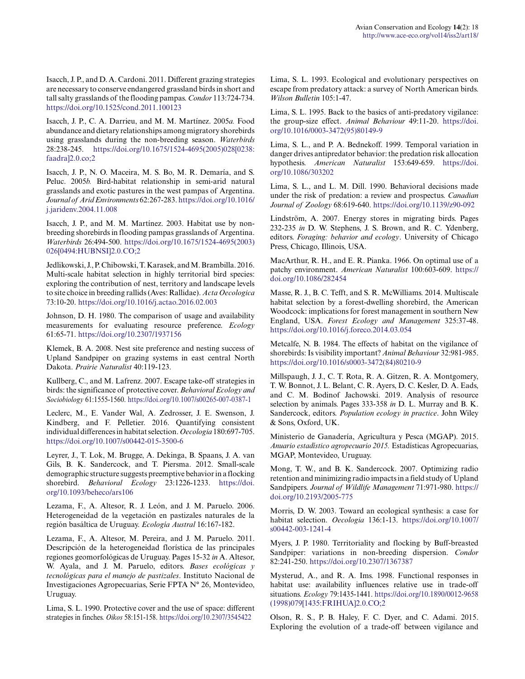Isacch, J. P., and D. A. Cardoni. 2011. Different grazing strategies are necessary to conserve endangered grassland birds in short and tall salty grasslands of the flooding pampas. *Condor* 113:724-734. <https://doi.org/10.1525/cond.2011.100123>

Isacch, J. P., C. A. Darrieu, and M. M. Martínez. 2005*a.* Food abundance and dietary relationships among migratory shorebirds using grasslands during the non-breeding season. *Waterbirds* 28:238-245. [https://doi.org/10.1675/1524-4695\(2005\)028\[0238:](https://doi.org/10.1675/1524-4695(2005)028[0238:faadra]2.0.co;2) [faadra\]2.0.co;2](https://doi.org/10.1675/1524-4695(2005)028[0238:faadra]2.0.co;2)

Isacch, J. P., N. O. Maceira, M. S. Bo, M. R. Demaría, and S. Peluc. 2005*b.* Bird-habitat relationship in semi-arid natural grasslands and exotic pastures in the west pampas of Argentina. *Journal of Arid Environments* 62:267-283. [https://doi.org/10.1016/](https://doi.org/10.1016/j.jaridenv.2004.11.008) [j.jaridenv.2004.11.008](https://doi.org/10.1016/j.jaridenv.2004.11.008) 

Isacch, J. P., and M. M. Martínez. 2003. Habitat use by nonbreeding shorebirds in flooding pampas grasslands of Argentina. *Waterbirds* 26:494-500. [https://doi.org/10.1675/1524-4695\(2003\)](https://doi.org/10.1675/1524-4695(2003)026[0494:HUBNSI]2.0.CO;2) [026\[0494:HUBNSI\]2.0.CO;2](https://doi.org/10.1675/1524-4695(2003)026[0494:HUBNSI]2.0.CO;2) 

Jedlikowski, J., P. Chibowski, T. Karasek, and M. Brambilla. 2016. Multi-scale habitat selection in highly territorial bird species: exploring the contribution of nest, territory and landscape levels to site choice in breeding rallids (Aves: Rallidae). *Acta Oecologica* 73:10-20.<https://doi.org/10.1016/j.actao.2016.02.003>

Johnson, D. H. 1980. The comparison of usage and availability measurements for evaluating resource preference. *Ecology* 61:65-71.<https://doi.org/10.2307/1937156>

Klemek, B. A. 2008. Nest site preference and nesting success of Upland Sandpiper on grazing systems in east central North Dakota. *Prairie Naturalist* 40:119-123.

Kullberg, C., and M. Lafrenz. 2007. Escape take-off strategies in birds: the significance of protective cover. *Behavioral Ecology and Sociobiology* 61:1555-1560. <https://doi.org/10.1007/s00265-007-0387-1>

Leclerc, M., E. Vander Wal, A. Zedrosser, J. E. Swenson, J. Kindberg, and F. Pelletier. 2016. Quantifying consistent individual differences in habitat selection. *Oecologia* 180:697-705. <https://doi.org/10.1007/s00442-015-3500-6>

Leyrer, J., T. Lok, M. Brugge, A. Dekinga, B. Spaans, J. A. van Gils, B. K. Sandercock, and T. Piersma. 2012. Small-scale demographic structure suggests preemptive behavior in a flocking shorebird. *Behavioral Ecology* 23:1226-1233. [https://doi.](https://doi.org/10.1093/beheco/ars106) [org/10.1093/beheco/ars106](https://doi.org/10.1093/beheco/ars106)

Lezama, F., A. Altesor, R. J. León, and J. M. Paruelo. 2006. Heterogeneidad de la vegetación en pastizales naturales de la región basáltica de Uruguay. *Ecología Austral* 16:167-182.

Lezama, F., A. Altesor, M. Pereira, and J. M. Paruelo. 2011. Descripción de la heterogeneidad florística de las principales regiones geomorfológicas de Uruguay. Pages 15-32 *in* A. Altesor, W. Ayala, and J. M. Paruelo, editors. *Bases ecológicas y tecnológicas para el manejo de pastizales*. Instituto Nacional de Investigaciones Agropecuarias, Serie FPTA N° 26, Montevideo, Uruguay.

Lima, S. L. 1990. Protective cover and the use of space: different strategies in finches. *Oikos* 58:151-158. <https://doi.org/10.2307/3545422>

Lima, S. L. 1993. Ecological and evolutionary perspectives on escape from predatory attack: a survey of North American birds. *Wilson Bulletin* 105:1-47.

Lima, S. L. 1995. Back to the basics of anti-predatory vigilance: the group-size effect. *Animal Behaviour* 49:11-20. [https://doi.](https://doi.org/10.1016/0003-3472(95)80149-9) [org/10.1016/0003-3472\(95\)80149-9](https://doi.org/10.1016/0003-3472(95)80149-9)

Lima, S. L., and P. A. Bednekoff. 1999. Temporal variation in danger drives antipredator behavior: the predation risk allocation hypothesis. *American Naturalist* 153:649-659. [https://doi.](https://doi.org/10.1086/303202) [org/10.1086/303202](https://doi.org/10.1086/303202)

Lima, S. L., and L. M. Dill. 1990. Behavioral decisions made under the risk of predation: a review and prospectus. *Canadian Journal of Zoology* 68:619-640.<https://doi.org/10.1139/z90-092>

Lindström, A. 2007. Energy stores in migrating birds. Pages 232-235 *in* D. W. Stephens, J. S. Brown, and R. C. Ydenberg, editors. *Foraging: behavior and ecology*. University of Chicago Press, Chicago, Illinois, USA.

MacArthur, R. H., and E. R. Pianka. 1966. On optimal use of a patchy environment. *American Naturalist* 100:603-609. [https://](https://doi.org/10.1086/282454) [doi.org/10.1086/282454](https://doi.org/10.1086/282454)

Masse, R. J., B. C. Tefft, and S. R. McWilliams. 2014. Multiscale habitat selection by a forest-dwelling shorebird, the American Woodcock: implications for forest management in southern New England, USA. *Forest Ecology and Management* 325:37-48. <https://doi.org/10.1016/j.foreco.2014.03.054>

Metcalfe, N. B. 1984. The effects of habitat on the vigilance of shorebirds: Is visibility important? *Animal Behaviour* 32:981-985. [https://doi.org/10.1016/s0003-3472\(84\)80210-9](https://doi.org/10.1016/s0003-3472(84)80210-9)

Millspaugh, J. J., C. T. Rota, R. A. Gitzen, R. A. Montgomery, T. W. Bonnot, J. L. Belant, C. R. Ayers, D. C. Kesler, D. A. Eads, and C. M. Bodinof Jachowski. 2019. Analysis of resource selection by animals. Pages 333-358 *in* D. L. Murray and B. K. Sandercock, editors. *Population ecology in practice*. John Wiley & Sons, Oxford, UK.

Ministerio de Ganadería, Agricultura y Pesca (MGAP). 2015. *Anuario estadístico agropecuario 2015.* Estadísticas Agropecuarias, MGAP, Montevideo, Uruguay.

Mong, T. W., and B. K. Sandercock. 2007. Optimizing radio retention and minimizing radio impacts in a field study of Upland Sandpipers. *Journal of Wildlife Management* 71:971-980. [https://](https://doi.org/10.2193/2005-775) [doi.org/10.2193/2005-775](https://doi.org/10.2193/2005-775)

Morris, D. W. 2003. Toward an ecological synthesis: a case for habitat selection. *Oecologia* 136:1-13. [https://doi.org/10.1007/](https://doi.org/10.1007/s00442-003-1241-4) [s00442-003-1241-4](https://doi.org/10.1007/s00442-003-1241-4) 

Myers, J. P. 1980. Territoriality and flocking by Buff-breasted Sandpiper: variations in non-breeding dispersion. *Condor* 82:241-250.<https://doi.org/10.2307/1367387>

Mysterud, A., and R. A. Ims. 1998. Functional responses in habitat use: availability influences relative use in trade-off situations. *Ecology* 79:1435-1441. [https://doi.org/10.1890/0012-9658](https://doi.org/10.1890/0012-9658(1998)079[1435:FRIHUA]2.0.CO;2) [\(1998\)079\[1435:FRIHUA\]2.0.CO;2](https://doi.org/10.1890/0012-9658(1998)079[1435:FRIHUA]2.0.CO;2)

Olson, R. S., P. B. Haley, F. C. Dyer, and C. Adami. 2015. Exploring the evolution of a trade-off between vigilance and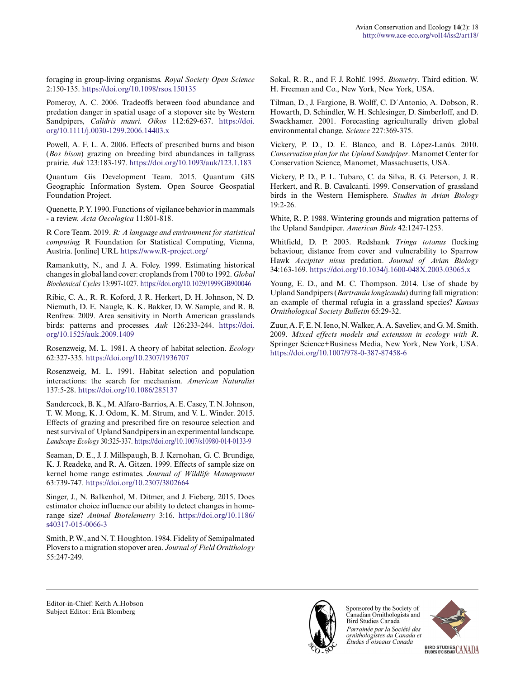foraging in group-living organisms. *Royal Society Open Science* 2:150-135. <https://doi.org/10.1098/rsos.150135>

Pomeroy, A. C. 2006. Tradeoffs between food abundance and predation danger in spatial usage of a stopover site by Western Sandpipers, *Calidris mauri. Oikos* 112:629-637. [https://doi.](https://doi.org/10.1111/j.0030-1299.2006.14403.x) [org/10.1111/j.0030-1299.2006.14403.x](https://doi.org/10.1111/j.0030-1299.2006.14403.x)

Powell, A. F. L. A. 2006. Effects of prescribed burns and bison (*Bos bison*) grazing on breeding bird abundances in tallgrass prairie. *Auk* 123:183-197.<https://doi.org/10.1093/auk/123.1.183>

Quantum Gis Development Team. 2015. Quantum GIS Geographic Information System. Open Source Geospatial Foundation Project.

Quenette, P. Y. 1990. Functions of vigilance behavior in mammals - a review. *Acta Oecologica* 11:801-818.

R Core Team. 2019. *R: A language and environment for statistical computing.* R Foundation for Statistical Computing, Vienna, Austria. [online] URL<https://www.R-project.org/>

Ramankutty, N., and J. A. Foley. 1999. Estimating historical changes in global land cover: croplands from 1700 to 1992. *Global Biochemical Cycles* 13:997-1027. <https://doi.org/10.1029/1999GB900046>

Ribic, C. A., R. R. Koford, J. R. Herkert, D. H. Johnson, N. D. Niemuth, D. E. Naugle, K. K. Bakker, D. W. Sample, and R. B. Renfrew. 2009. Area sensitivity in North American grasslands birds: patterns and processes. *Auk* 126:233-244. [https://doi.](https://doi.org/10.1525/auk.2009.1409) [org/10.1525/auk.2009.1409](https://doi.org/10.1525/auk.2009.1409) 

Rosenzweig, M. L. 1981. A theory of habitat selection. *Ecology* 62:327-335.<https://doi.org/10.2307/1936707>

Rosenzweig, M. L. 1991. Habitat selection and population interactions: the search for mechanism. *American Naturalist* 137:5-28.<https://doi.org/10.1086/285137>

Sandercock, B. K., M. Alfaro-Barrios, A. E. Casey, T. N. Johnson, T. W. Mong, K. J. Odom, K. M. Strum, and V. L. Winder. 2015. Effects of grazing and prescribed fire on resource selection and nest survival of Upland Sandpipers in an experimental landscape. *Landscape Ecology* 30:325-337. <https://doi.org/10.1007/s10980-014-0133-9>

Seaman, D. E., J. J. Millspaugh, B. J. Kernohan, G. C. Brundige, K. J. Readeke, and R. A. Gitzen. 1999. Effects of sample size on kernel home range estimates. *Journal of Wildlife Management* 63:739-747.<https://doi.org/10.2307/3802664>

Singer, J., N. Balkenhol, M. Ditmer, and J. Fieberg. 2015. Does estimator choice influence our ability to detect changes in homerange size? *Animal Biotelemetry* 3:16. [https://doi.org/10.1186/](https://doi.org/10.1186/s40317-015-0066-3) [s40317-015-0066-3](https://doi.org/10.1186/s40317-015-0066-3) 

Smith, P. W., and N. T. Houghton. 1984. Fidelity of Semipalmated Plovers to a migration stopover area. *Journal of Field Ornithology* 55:247-249.

Sokal, R. R., and F. J. Rohlf. 1995. *Biometry*. Third edition. W. H. Freeman and Co., New York, New York, USA.

Tilman, D., J. Fargione, B. Wolff, C. D´Antonio, A. Dobson, R. Howarth, D. Schindler, W. H. Schlesinger, D. Simberloff, and D. Swackhamer. 2001. Forecasting agriculturally driven global environmental change. *Science* 227:369-375.

Vickery, P. D., D. E. Blanco, and B. López-Lanús. 2010. *Conservation plan for the Upland Sandpiper*. Manomet Center for Conservation Science, Manomet, Massachusetts, USA.

Vickery, P. D., P. L. Tubaro, C. da Silva, B. G. Peterson, J. R. Herkert, and R. B. Cavalcanti. 1999. Conservation of grassland birds in the Western Hemisphere. *Studies in Avian Biology* 19:2-26.

White, R. P. 1988. Wintering grounds and migration patterns of the Upland Sandpiper. *American Birds* 42:1247-1253.

Whitfield, D. P. 2003. Redshank *Tringa totanus* flocking behaviour, distance from cover and vulnerability to Sparrow Hawk *Accipiter nisus* predation. *Journal of Avian Biology* 34:163-169.<https://doi.org/10.1034/j.1600-048X.2003.03065.x>

Young, E. D., and M. C. Thompson. 2014. Use of shade by Upland Sandpipers (*Bartramia longicauda*) during fall migration: an example of thermal refugia in a grassland species? *Kansas Ornithological Society Bulletin* 65:29-32.

Zuur, A. F, E. N. Ieno, N. Walker, A. A. Saveliev, and G. M. Smith. 2009. *Mixed effects models and extension in ecology with R*. Springer Science+Business Media, New York, New York, USA. <https://doi.org/10.1007/978-0-387-87458-6>

Editor-in-Chief: Keith A.Hobson Subject Editor: Erik Blomberg



Sponsored by the Society of Canadian Ornithologists and Bird Studies Canada Parrainée par la Société des ornithologistes du Canada et Études d'oiseaux Canada



BIRD STUDIES CANADA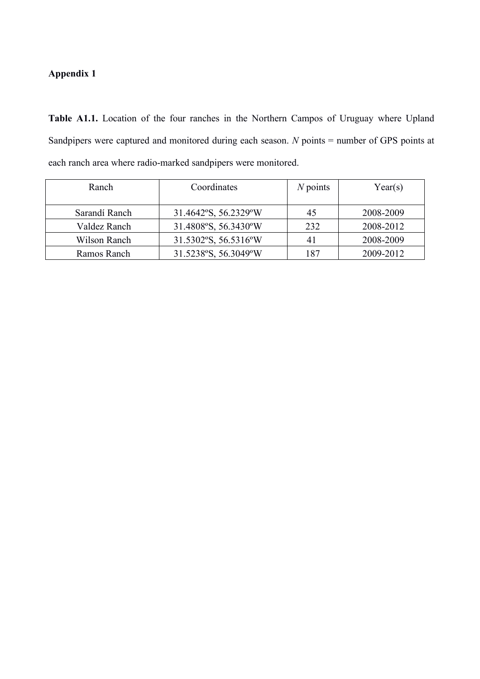# **Appendix 1**

**Table A1.1.** Location of the four ranches in the Northern Campos of Uruguay where Upland Sandpipers were captured and monitored during each season. *N* points = number of GPS points at each ranch area where radio-marked sandpipers were monitored.

| Ranch         | Coordinates          | $N$ points | Year(s)   |
|---------------|----------------------|------------|-----------|
| Sarandí Ranch | 31.4642°S, 56.2329°W | 45         | 2008-2009 |
| Valdez Ranch  | 31.4808°S, 56.3430°W | 232        | 2008-2012 |
| Wilson Ranch  | 31.5302°S, 56.5316°W | 41         | 2008-2009 |
| Ramos Ranch   | 31.5238°S, 56.3049°W | 187        | 2009-2012 |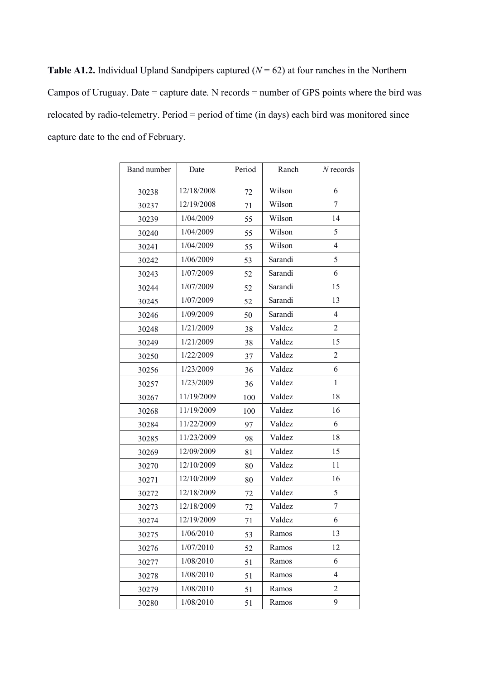**Table A1.2.** Individual Upland Sandpipers captured ( $N = 62$ ) at four ranches in the Northern Campos of Uruguay. Date = capture date. N records = number of GPS points where the bird was relocated by radio-telemetry. Period = period of time (in days) each bird was monitored since capture date to the end of February.

| Band number | Date       | Period | Ranch   | $N$ records    |
|-------------|------------|--------|---------|----------------|
| 30238       | 12/18/2008 | 72     | Wilson  | 6              |
| 30237       | 12/19/2008 | 71     | Wilson  | 7              |
| 30239       | 1/04/2009  | 55     | Wilson  | 14             |
| 30240       | 1/04/2009  | 55     | Wilson  | 5              |
| 30241       | 1/04/2009  | 55     | Wilson  | 4              |
| 30242       | 1/06/2009  | 53     | Sarandi | 5              |
| 30243       | 1/07/2009  | 52     | Sarandi | 6              |
| 30244       | 1/07/2009  | 52     | Sarandi | 15             |
| 30245       | 1/07/2009  | 52     | Sarandi | 13             |
| 30246       | 1/09/2009  | 50     | Sarandi | 4              |
| 30248       | 1/21/2009  | 38     | Valdez  | $\overline{2}$ |
| 30249       | 1/21/2009  | 38     | Valdez  | 15             |
| 30250       | 1/22/2009  | 37     | Valdez  | $\overline{2}$ |
| 30256       | 1/23/2009  | 36     | Valdez  | 6              |
| 30257       | 1/23/2009  | 36     | Valdez  | $\mathbf{1}$   |
| 30267       | 11/19/2009 | 100    | Valdez  | 18             |
| 30268       | 11/19/2009 | 100    | Valdez  | 16             |
| 30284       | 11/22/2009 | 97     | Valdez  | 6              |
| 30285       | 11/23/2009 | 98     | Valdez  | 18             |
| 30269       | 12/09/2009 | 81     | Valdez  | 15             |
| 30270       | 12/10/2009 | 80     | Valdez  | 11             |
| 30271       | 12/10/2009 | 80     | Valdez  | 16             |
| 30272       | 12/18/2009 | 72     | Valdez  | 5              |
| 30273       | 12/18/2009 | 72     | Valdez  | 7              |
| 30274       | 12/19/2009 | 71     | Valdez  | 6              |
| 30275       | 1/06/2010  | 53     | Ramos   | 13             |
| 30276       | 1/07/2010  | 52     | Ramos   | 12             |
| 30277       | 1/08/2010  | 51     | Ramos   | 6              |
| 30278       | 1/08/2010  | 51     | Ramos   | $\overline{4}$ |
| 30279       | 1/08/2010  | 51     | Ramos   | 2              |
| 30280       | 1/08/2010  | 51     | Ramos   | 9              |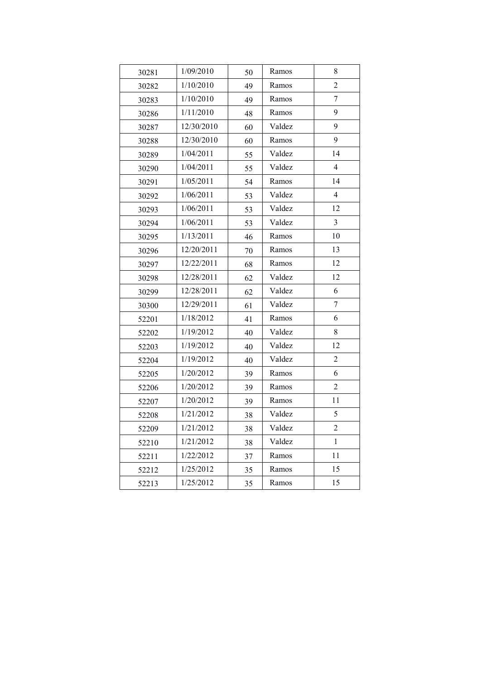| 30281 | 1/09/2010  | 50 | Ramos  | 8              |
|-------|------------|----|--------|----------------|
| 30282 | 1/10/2010  | 49 | Ramos  | $\overline{c}$ |
| 30283 | 1/10/2010  | 49 | Ramos  | 7              |
| 30286 | 1/11/2010  | 48 | Ramos  | 9              |
| 30287 | 12/30/2010 | 60 | Valdez | 9              |
| 30288 | 12/30/2010 | 60 | Ramos  | 9              |
| 30289 | 1/04/2011  | 55 | Valdez | 14             |
| 30290 | 1/04/2011  | 55 | Valdez | $\overline{4}$ |
| 30291 | 1/05/2011  | 54 | Ramos  | 14             |
| 30292 | 1/06/2011  | 53 | Valdez | $\overline{4}$ |
| 30293 | 1/06/2011  | 53 | Valdez | 12             |
| 30294 | 1/06/2011  | 53 | Valdez | $\mathfrak{Z}$ |
| 30295 | 1/13/2011  | 46 | Ramos  | 10             |
| 30296 | 12/20/2011 | 70 | Ramos  | 13             |
| 30297 | 12/22/2011 | 68 | Ramos  | 12             |
| 30298 | 12/28/2011 | 62 | Valdez | 12             |
| 30299 | 12/28/2011 | 62 | Valdez | 6              |
| 30300 | 12/29/2011 | 61 | Valdez | 7              |
| 52201 | 1/18/2012  | 41 | Ramos  | 6              |
| 52202 | 1/19/2012  | 40 | Valdez | 8              |
| 52203 | 1/19/2012  | 40 | Valdez | 12             |
| 52204 | 1/19/2012  | 40 | Valdez | $\overline{2}$ |
| 52205 | 1/20/2012  | 39 | Ramos  | 6              |
| 52206 | 1/20/2012  | 39 | Ramos  | $\overline{2}$ |
| 52207 | 1/20/2012  | 39 | Ramos  | 11             |
| 52208 | 1/21/2012  | 38 | Valdez | 5              |
| 52209 | 1/21/2012  | 38 | Valdez | $\overline{c}$ |
| 52210 | 1/21/2012  | 38 | Valdez | 1              |
| 52211 | 1/22/2012  | 37 | Ramos  | 11             |
| 52212 | 1/25/2012  | 35 | Ramos  | 15             |
| 52213 | 1/25/2012  | 35 | Ramos  | 15             |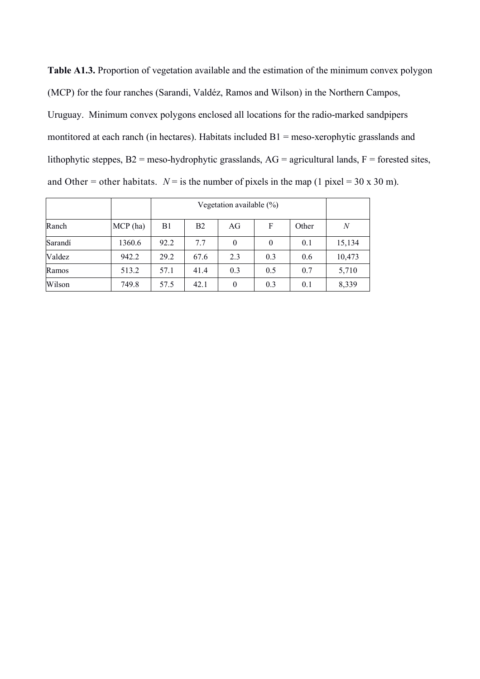**Table A1.3.** Proportion of vegetation available and the estimation of the minimum convex polygon (MCP) for the four ranches (Sarandi, Valdéz, Ramos and Wilson) in the Northern Campos, Uruguay. Minimum convex polygons enclosed all locations for the radio-marked sandpipers montitored at each ranch (in hectares). Habitats included B1 = meso-xerophytic grasslands and lithophytic steppes, B2 = meso-hydrophytic grasslands, AG = agricultural lands, F = forested sites, and Other = other habitats.  $N =$  is the number of pixels in the map (1 pixel = 30 x 30 m).

|         |            |      | Vegetation available $(\%)$ |          |          |       |        |  |  |
|---------|------------|------|-----------------------------|----------|----------|-------|--------|--|--|
| Ranch   | $MCP$ (ha) | B1   | B <sub>2</sub>              | AG       | F        | Other | N      |  |  |
| Sarandí | 1360.6     | 92.2 | 7.7                         | $\theta$ | $\theta$ | 0.1   | 15,134 |  |  |
| Valdez  | 942.2      | 29.2 | 67.6                        | 2.3      | 0.3      | 0.6   | 10,473 |  |  |
| Ramos   | 513.2      | 57.1 | 41.4                        | 0.3      | 0.5      | 0.7   | 5,710  |  |  |
| Wilson  | 749.8      | 57.5 | 42.1                        | $\theta$ | 0.3      | 0.1   | 8,339  |  |  |